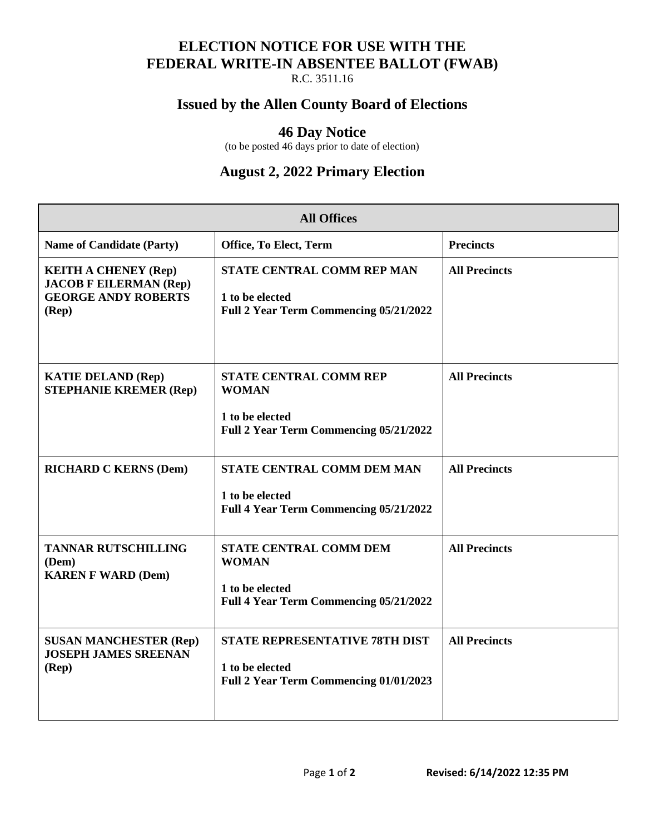### **ELECTION NOTICE FOR USE WITH THE FEDERAL WRITE-IN ABSENTEE BALLOT (FWAB)**

R.C. 3511.16

#### **Issued by the Allen County Board of Elections**

#### **46 Day Notice**

(to be posted 46 days prior to date of election)

## **August 2, 2022 Primary Election**

| <b>All Offices</b>                                                                                             |                                                                                                     |                      |  |
|----------------------------------------------------------------------------------------------------------------|-----------------------------------------------------------------------------------------------------|----------------------|--|
| <b>Name of Candidate (Party)</b>                                                                               | Office, To Elect, Term                                                                              | <b>Precincts</b>     |  |
| <b>KEITH A CHENEY (Rep)</b><br><b>JACOB F EILERMAN (Rep)</b><br><b>GEORGE ANDY ROBERTS</b><br>$(\mathbf{Rep})$ | STATE CENTRAL COMM REP MAN<br>1 to be elected<br>Full 2 Year Term Commencing 05/21/2022             | <b>All Precincts</b> |  |
| <b>KATIE DELAND (Rep)</b><br><b>STEPHANIE KREMER (Rep)</b>                                                     | STATE CENTRAL COMM REP<br><b>WOMAN</b><br>1 to be elected<br>Full 2 Year Term Commencing 05/21/2022 | <b>All Precincts</b> |  |
| <b>RICHARD C KERNS (Dem)</b>                                                                                   | <b>STATE CENTRAL COMM DEM MAN</b><br>1 to be elected<br>Full 4 Year Term Commencing 05/21/2022      | <b>All Precincts</b> |  |
| <b>TANNAR RUTSCHILLING</b><br>(Dem)<br><b>KAREN F WARD (Dem)</b>                                               | STATE CENTRAL COMM DEM<br><b>WOMAN</b><br>1 to be elected<br>Full 4 Year Term Commencing 05/21/2022 | <b>All Precincts</b> |  |
| <b>SUSAN MANCHESTER (Rep)</b><br><b>JOSEPH JAMES SREENAN</b><br>$(\mathbf{Rep})$                               | <b>STATE REPRESENTATIVE 78TH DIST</b><br>1 to be elected<br>Full 2 Year Term Commencing 01/01/2023  | <b>All Precincts</b> |  |